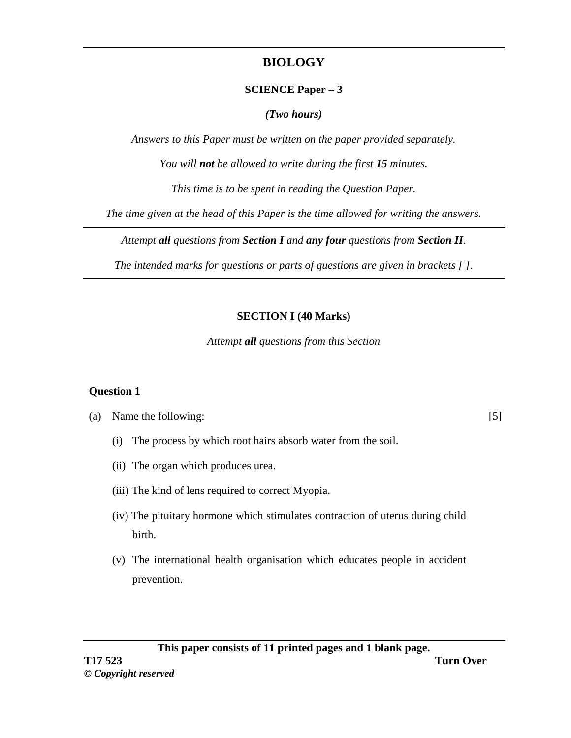# **BIOLOGY**

### **SCIENCE Paper – 3**

### *(Two hours)*

*Answers to this Paper must be written on the paper provided separately.*

*You will not be allowed to write during the first 15 minutes.*

*This time is to be spent in reading the Question Paper.*

*The time given at the head of this Paper is the time allowed for writing the answers.*

*Attempt all questions from Section I and any four questions from Section II.*

*The intended marks for questions or parts of questions are given in brackets [ ].*

## **SECTION I (40 Marks)**

*Attempt all questions from this Section* 

## **Question 1**

(a) Name the following: [5]

- (i) The process by which root hairs absorb water from the soil.
- (ii) The organ which produces urea.
- (iii) The kind of lens required to correct Myopia.
- (iv) The pituitary hormone which stimulates contraction of uterus during child birth.
- (v) The international health organisation which educates people in accident prevention.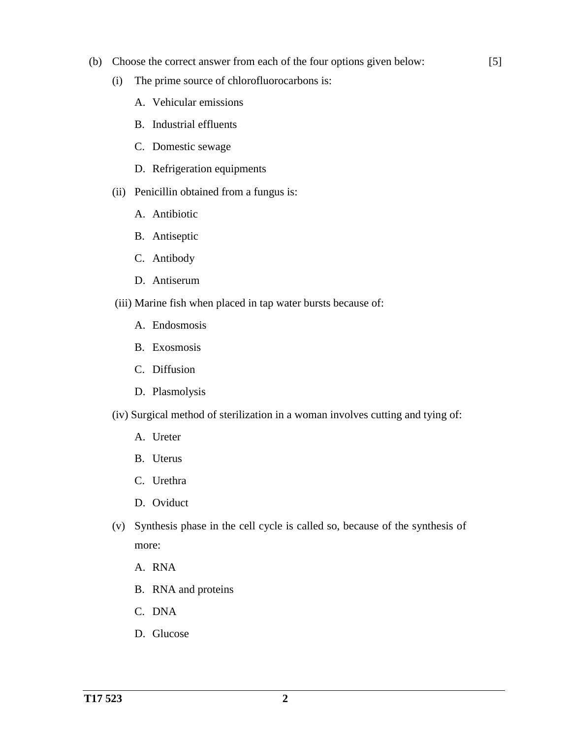- (b) Choose the correct answer from each of the four options given below: [5]
	- (i) The prime source of chlorofluorocarbons is:
		- A. Vehicular emissions
		- B. Industrial effluents
		- C. Domestic sewage
		- D. Refrigeration equipments
	- (ii) Penicillin obtained from a fungus is:
		- A. Antibiotic
		- B. Antiseptic
		- C. Antibody
		- D. Antiserum
	- (iii) Marine fish when placed in tap water bursts because of:
		- A. Endosmosis
		- B. Exosmosis
		- C. Diffusion
		- D. Plasmolysis
	- (iv) Surgical method of sterilization in a woman involves cutting and tying of:
		- A. Ureter
		- B. Uterus
		- C. Urethra
		- D. Oviduct
	- (v) Synthesis phase in the cell cycle is called so, because of the synthesis of more:
		- A. RNA
		- B. RNA and proteins
		- C. DNA
		- D. Glucose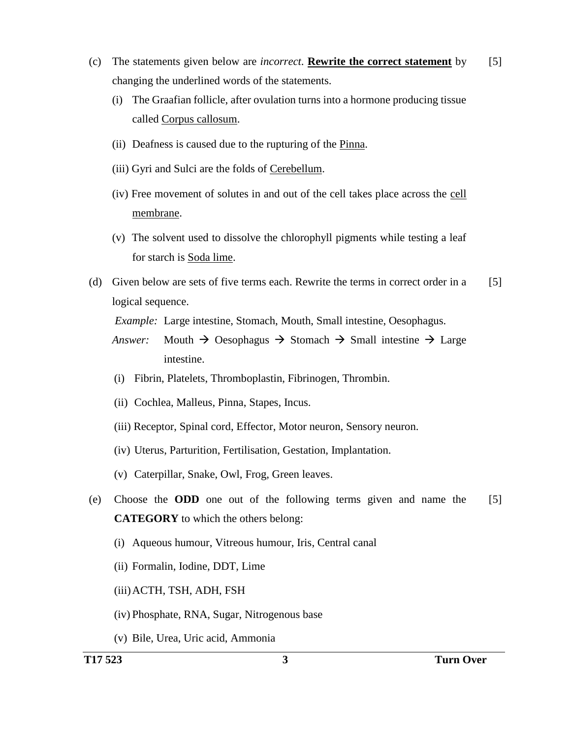- (c) The statements given below are *incorrect*. **Rewrite the correct statement** by changing the underlined words of the statements. [5]
	- (i) The Graafian follicle, after ovulation turns into a hormone producing tissue called Corpus callosum.
	- (ii) Deafness is caused due to the rupturing of the Pinna.
	- (iii) Gyri and Sulci are the folds of Cerebellum.
	- (iv) Free movement of solutes in and out of the cell takes place across the cell membrane.
	- (v) The solvent used to dissolve the chlorophyll pigments while testing a leaf for starch is Soda lime.
- (d) Given below are sets of five terms each. Rewrite the terms in correct order in a logical sequence. [5]

*Example:* Large intestine, Stomach, Mouth, Small intestine, Oesophagus.

- *Answer:* Mouth  $\rightarrow$  Oesophagus  $\rightarrow$  Stomach  $\rightarrow$  Small intestine  $\rightarrow$  Large intestine.
- (i) Fibrin, Platelets, Thromboplastin, Fibrinogen, Thrombin.
- (ii) Cochlea, Malleus, Pinna, Stapes, Incus.
- (iii) Receptor, Spinal cord, Effector, Motor neuron, Sensory neuron.
- (iv) Uterus, Parturition, Fertilisation, Gestation, Implantation.
- (v) Caterpillar, Snake, Owl, Frog, Green leaves.
- (e) Choose the **ODD** one out of the following terms given and name the **CATEGORY** to which the others belong: [5]
	- (i) Aqueous humour, Vitreous humour, Iris, Central canal
	- (ii) Formalin, Iodine, DDT, Lime
	- (iii)ACTH, TSH, ADH, FSH
	- (iv) Phosphate, RNA, Sugar, Nitrogenous base
	- (v) Bile, Urea, Uric acid, Ammonia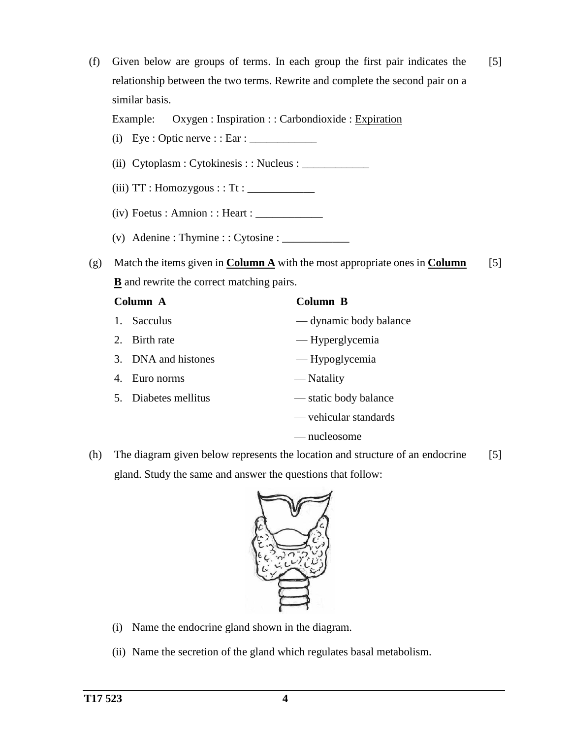- (f) Given below are groups of terms. In each group the first pair indicates the relationship between the two terms. Rewrite and complete the second pair on a similar basis. Example: Oxygen : Inspiration : : Carbondioxide : Expiration [5] (i) Eye : Optic nerve : : Ear :  $\frac{\ }{\ }$ (ii) Cytoplasm : Cytokinesis : : Nucleus : \_\_\_\_\_\_\_\_\_\_\_\_  $(iii) TT : Homozygous :: Tt :$  $(iv)$  Foetus : Amnion : : Heart :  $\sqrt{\frac{2}{1-\frac{1}{2}}$ (v) Adenine : Thymine : : Cytosine :  $\frac{1}{2}$ (g) Match the items given in **Column A** with the most appropriate ones in **Column B** and rewrite the correct matching pairs. [5] **Column A** 1. Sacculus 2. Birth rate 3. DNA and histones 4. Euro norms 5. Diabetes mellitus **Column B** — dynamic body balance — Hyperglycemia — Hypoglycemia — Natality — static body balance
- nucleosome (h) The diagram given below represents the location and structure of an endocrine gland. Study the same and answer the questions that follow: [5]

— vehicular standards



- (i) Name the endocrine gland shown in the diagram.
- (ii) Name the secretion of the gland which regulates basal metabolism.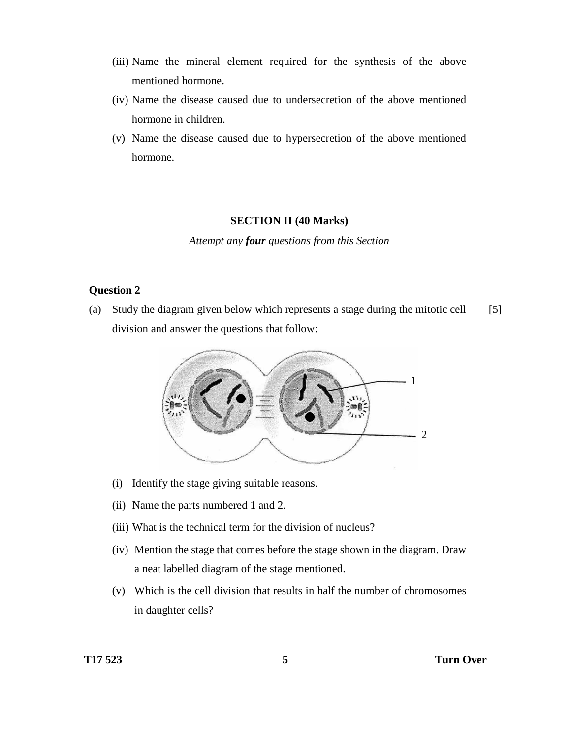- (iii) Name the mineral element required for the synthesis of the above mentioned hormone.
- (iv) Name the disease caused due to undersecretion of the above mentioned hormone in children.
- (v) Name the disease caused due to hypersecretion of the above mentioned hormone.

#### **SECTION II (40 Marks)**

*Attempt any four questions from this Section*

#### **Question 2**

(a) Study the diagram given below which represents a stage during the mitotic cell division and answer the questions that follow: [5]



- (i) Identify the stage giving suitable reasons.
- (ii) Name the parts numbered 1 and 2.
- (iii) What is the technical term for the division of nucleus?
- (iv) Mention the stage that comes before the stage shown in the diagram. Draw a neat labelled diagram of the stage mentioned.
- (v) Which is the cell division that results in half the number of chromosomes in daughter cells?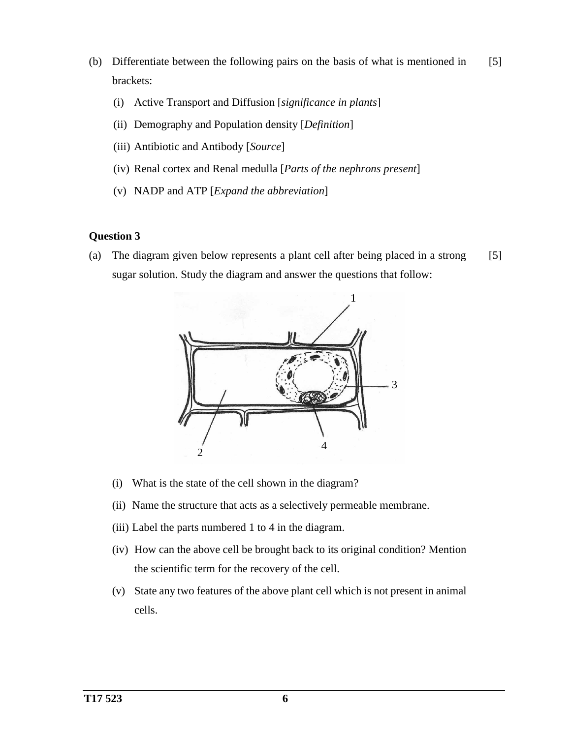- (b) Differentiate between the following pairs on the basis of what is mentioned in brackets: [5]
	- (i) Active Transport and Diffusion [*significance in plants*]
	- (ii) Demography and Population density [*Definition*]
	- (iii) Antibiotic and Antibody [*Source*]
	- (iv) Renal cortex and Renal medulla [*Parts of the nephrons present*]
	- (v) NADP and ATP [*Expand the abbreviation*]

#### **Question 3**

(a) The diagram given below represents a plant cell after being placed in a strong sugar solution. Study the diagram and answer the questions that follow: [5]



- (i) What is the state of the cell shown in the diagram?
- (ii) Name the structure that acts as a selectively permeable membrane.
- (iii) Label the parts numbered 1 to 4 in the diagram.
- (iv) How can the above cell be brought back to its original condition? Mention the scientific term for the recovery of the cell.
- (v) State any two features of the above plant cell which is not present in animal cells.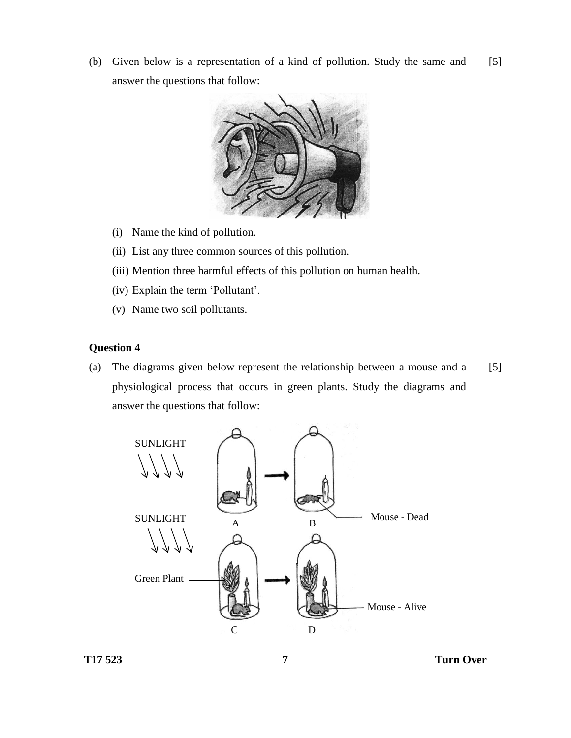(b) Given below is a representation of a kind of pollution. Study the same and answer the questions that follow: [5]



- (i) Name the kind of pollution.
- (ii) List any three common sources of this pollution.
- (iii) Mention three harmful effects of this pollution on human health.
- (iv) Explain the term 'Pollutant'.
- (v) Name two soil pollutants.

## **Question 4**

(a) The diagrams given below represent the relationship between a mouse and a physiological process that occurs in green plants. Study the diagrams and answer the questions that follow: [5]

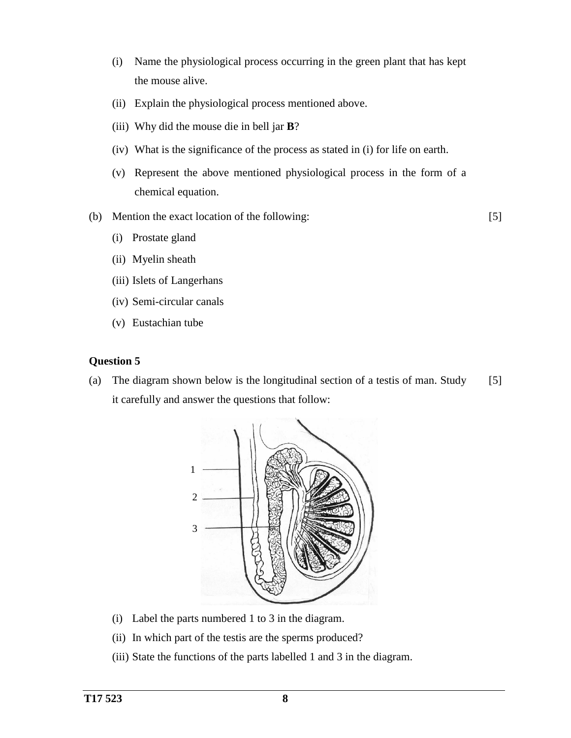- (i) Name the physiological process occurring in the green plant that has kept the mouse alive.
- (ii) Explain the physiological process mentioned above.
- (iii) Why did the mouse die in bell jar **B**?
- (iv) What is the significance of the process as stated in (i) for life on earth.
- (v) Represent the above mentioned physiological process in the form of a chemical equation.
- (b) Mention the exact location of the following:

[5]

- (i) Prostate gland
- (ii) Myelin sheath
- (iii) Islets of Langerhans
- (iv) Semi-circular canals
- (v) Eustachian tube

#### **Question 5**

(a) The diagram shown below is the longitudinal section of a testis of man. Study it carefully and answer the questions that follow: [5]



- (i) Label the parts numbered 1 to 3 in the diagram.
- (ii) In which part of the testis are the sperms produced?
- (iii) State the functions of the parts labelled 1 and 3 in the diagram.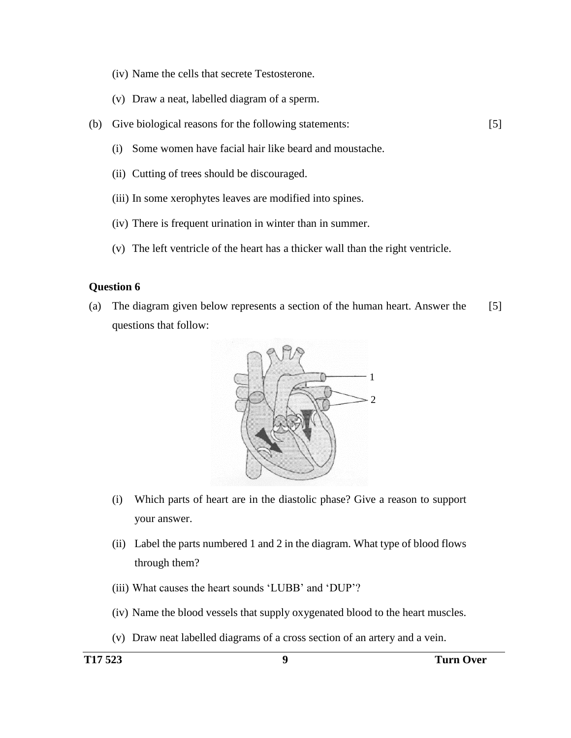- (iv) Name the cells that secrete Testosterone.
- (v) Draw a neat, labelled diagram of a sperm.
- (b) Give biological reasons for the following statements: [5]
	- (i) Some women have facial hair like beard and moustache.
	- (ii) Cutting of trees should be discouraged.
	- (iii) In some xerophytes leaves are modified into spines.
	- (iv) There is frequent urination in winter than in summer.
	- (v) The left ventricle of the heart has a thicker wall than the right ventricle.

#### **Question 6**

(a) The diagram given below represents a section of the human heart. Answer the questions that follow: [5]



- (i) Which parts of heart are in the diastolic phase? Give a reason to support your answer.
- (ii) Label the parts numbered 1 and 2 in the diagram. What type of blood flows through them?
- (iii) What causes the heart sounds 'LUBB' and 'DUP'?
- (iv) Name the blood vessels that supply oxygenated blood to the heart muscles.
- (v) Draw neat labelled diagrams of a cross section of an artery and a vein.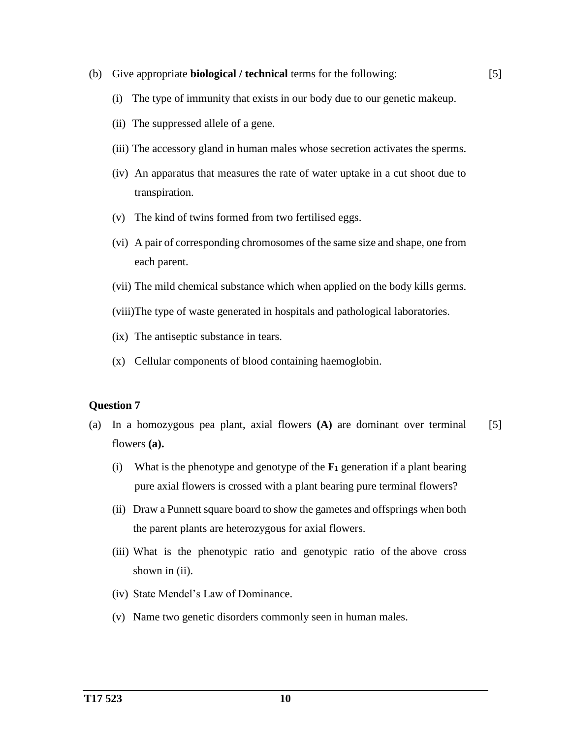- (b) Give appropriate **biological / technical** terms for the following:
	- (i) The type of immunity that exists in our body due to our genetic makeup.

[5]

- (ii) The suppressed allele of a gene.
- (iii) The accessory gland in human males whose secretion activates the sperms.
- (iv) An apparatus that measures the rate of water uptake in a cut shoot due to transpiration.
- (v) The kind of twins formed from two fertilised eggs.
- (vi) A pair of corresponding chromosomes of the same size and shape, one from each parent.
- (vii) The mild chemical substance which when applied on the body kills germs.

(viii)The type of waste generated in hospitals and pathological laboratories.

- (ix) The antiseptic substance in tears.
- (x) Cellular components of blood containing haemoglobin.

#### **Question 7**

- (a) In a homozygous pea plant, axial flowers **(A)** are dominant over terminal flowers **(a).** [5]
	- (i) What is the phenotype and genotype of the **F<sup>1</sup>** generation if a plant bearing pure axial flowers is crossed with a plant bearing pure terminal flowers?
	- (ii) Draw a Punnett square board to show the gametes and offsprings when both the parent plants are heterozygous for axial flowers.
	- (iii) What is the phenotypic ratio and genotypic ratio of the above cross shown in (ii).
	- (iv) State Mendel's Law of Dominance.
	- (v) Name two genetic disorders commonly seen in human males.